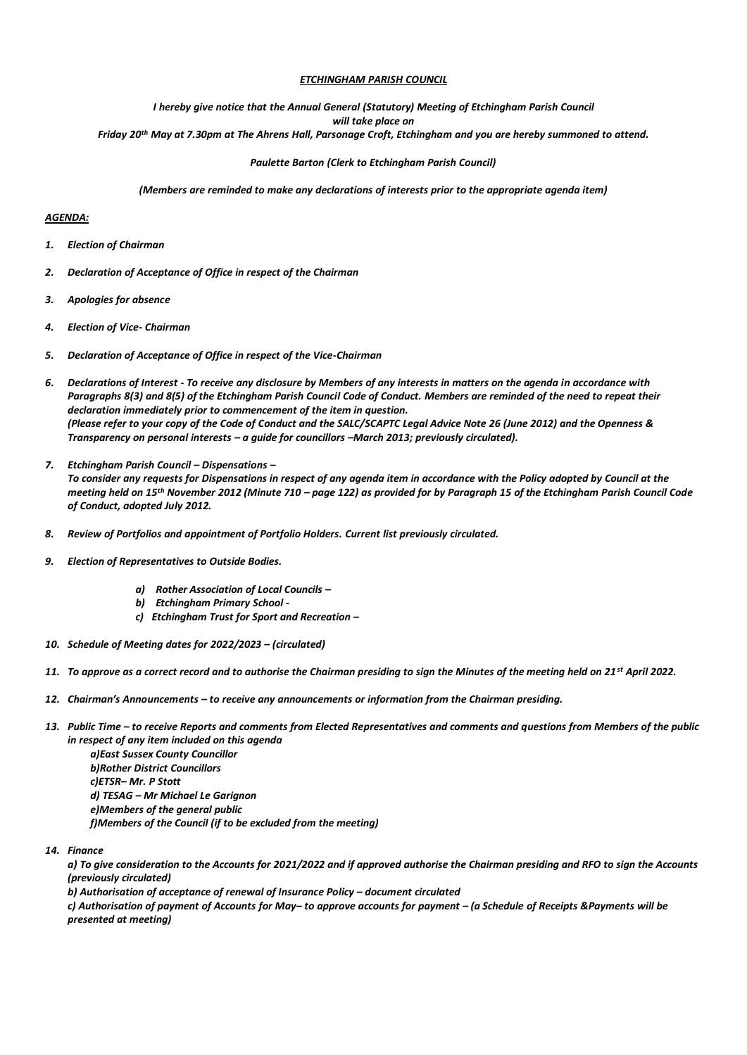# *ETCHINGHAM PARISH COUNCIL*

# *I hereby give notice that the Annual General (Statutory) Meeting of Etchingham Parish Council*

*will take place on*

*Friday 20th May at 7.30pm at The Ahrens Hall, Parsonage Croft, Etchingham and you are hereby summoned to attend.*

# *Paulette Barton (Clerk to Etchingham Parish Council)*

*(Members are reminded to make any declarations of interests prior to the appropriate agenda item)*

#### *AGENDA:*

- *1. Election of Chairman*
- *2. Declaration of Acceptance of Office in respect of the Chairman*
- *3. Apologies for absence*
- *4. Election of Vice- Chairman*
- *5. Declaration of Acceptance of Office in respect of the Vice-Chairman*
- *6. Declarations of Interest - To receive any disclosure by Members of any interests in matters on the agenda in accordance with Paragraphs 8(3) and 8(5) of the Etchingham Parish Council Code of Conduct. Members are reminded of the need to repeat their declaration immediately prior to commencement of the item in question. (Please refer to your copy of the Code of Conduct and the SALC/SCAPTC Legal Advice Note 26 (June 2012) and the Openness & Transparency on personal interests – a guide for councillors –March 2013; previously circulated).*
- *7. Etchingham Parish Council – Dispensations –*

*To consider any requests for Dispensations in respect of any agenda item in accordance with the Policy adopted by Council at the meeting held on 15th November 2012 (Minute 710 – page 122) as provided for by Paragraph 15 of the Etchingham Parish Council Code of Conduct, adopted July 2012.*

- *8. Review of Portfolios and appointment of Portfolio Holders. Current list previously circulated.*
- *9. Election of Representatives to Outside Bodies.*
	- *a) Rother Association of Local Councils –*
	- *b) Etchingham Primary School -*
	- *c) Etchingham Trust for Sport and Recreation –*
- *10. Schedule of Meeting dates for 2022/2023 – (circulated)*
- *11. To approve as a correct record and to authorise the Chairman presiding to sign the Minutes of the meeting held on 21st April 2022.*
- *12. Chairman's Announcements – to receive any announcements or information from the Chairman presiding.*
- *13. Public Time – to receive Reports and comments from Elected Representatives and comments and questions from Members of the public in respect of any item included on this agenda a)East Sussex County Councillor b)Rother District Councillors c)ETSR– Mr. P Stott d) TESAG – Mr Michael Le Garignon e)Members of the general public f)Members of the Council (if to be excluded from the meeting)*
- *14. Finance*

*a) To give consideration to the Accounts for 2021/2022 and if approved authorise the Chairman presiding and RFO to sign the Accounts (previously circulated)*

*b) Authorisation of acceptance of renewal of Insurance Policy – document circulated*

*c) Authorisation of payment of Accounts for May– to approve accounts for payment – (a Schedule of Receipts &Payments will be presented at meeting)*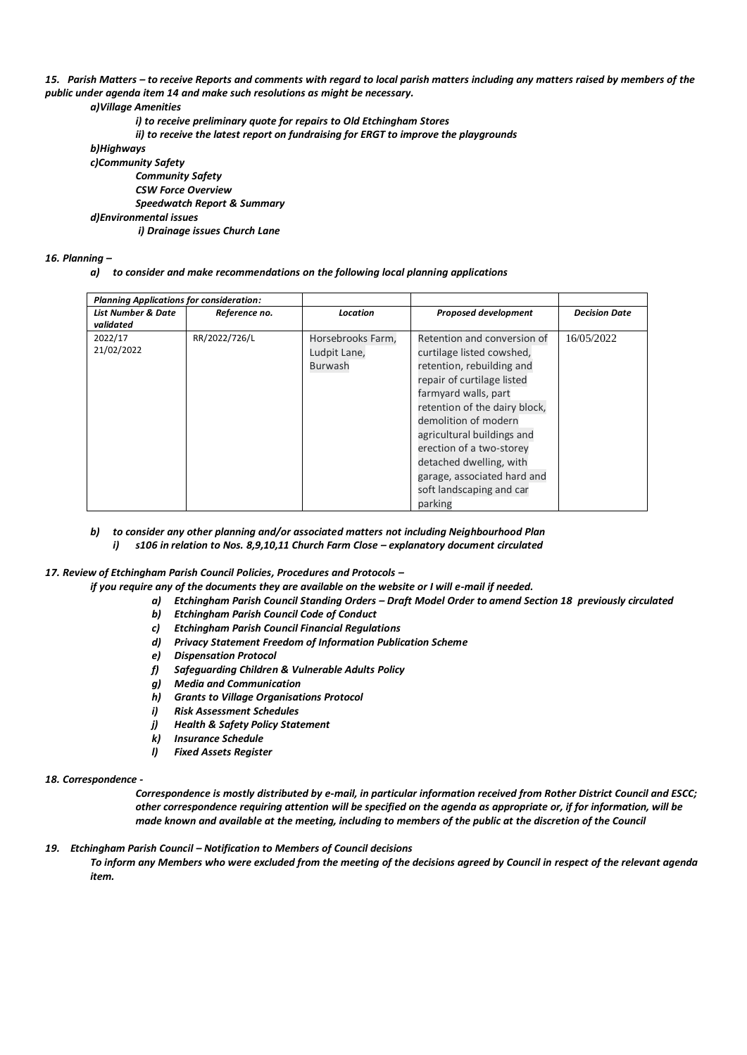*15. Parish Matters – to receive Reports and comments with regard to local parish matters including any matters raised by members of the public under agenda item 14 and make such resolutions as might be necessary.*

## *a)Village Amenities*

- *i) to receive preliminary quote for repairs to Old Etchingham Stores*
- *ii) to receive the latest report on fundraising for ERGT to improve the playgrounds*

*b)Highways*

*c)Community Safety Community Safety*

*CSW Force Overview*

*Speedwatch Report & Summary*

*d)Environmental issues*

*i) Drainage issues Church Lane*

## *16. Planning –*

*a) to consider and make recommendations on the following local planning applications* 

| <b>Planning Applications for consideration:</b> |               |                                                     |                                                                                                                                                                                                                                                                                                                                                                 |                      |
|-------------------------------------------------|---------------|-----------------------------------------------------|-----------------------------------------------------------------------------------------------------------------------------------------------------------------------------------------------------------------------------------------------------------------------------------------------------------------------------------------------------------------|----------------------|
| <b>List Number &amp; Date</b><br>validated      | Reference no. | Location                                            | <b>Proposed development</b>                                                                                                                                                                                                                                                                                                                                     | <b>Decision Date</b> |
| 2022/17<br>21/02/2022                           | RR/2022/726/L | Horsebrooks Farm,<br>Ludpit Lane,<br><b>Burwash</b> | Retention and conversion of<br>curtilage listed cowshed,<br>retention, rebuilding and<br>repair of curtilage listed<br>farmyard walls, part<br>retention of the dairy block,<br>demolition of modern<br>agricultural buildings and<br>erection of a two-storey<br>detached dwelling, with<br>garage, associated hard and<br>soft landscaping and car<br>parking | 16/05/2022           |

- *b) to consider any other planning and/or associated matters not including Neighbourhood Plan i*) s106 in relation to Nos. 8,9,10,11 Church Farm Close - explanatory document circulated
- *17. Review of Etchingham Parish Council Policies, Procedures and Protocols –*
	- *if you require any of the documents they are available on the website or I will e-mail if needed.* 
		- *a) Etchingham Parish Council Standing Orders – Draft Model Order to amend Section 18 previously circulated*
		- *b) Etchingham Parish Council Code of Conduct*
		- *c) Etchingham Parish Council Financial Regulations*
		- *d) Privacy Statement Freedom of Information Publication Scheme*
		- *e) Dispensation Protocol*
		- *f) Safeguarding Children & Vulnerable Adults Policy*
		- *g) Media and Communication*
		- *h) Grants to Village Organisations Protocol*
		- *i) Risk Assessment Schedules*
		- *j) Health & Safety Policy Statement*
		- *k) Insurance Schedule*
		- *l) Fixed Assets Register*

#### *18. Correspondence -*

*Correspondence is mostly distributed by e-mail, in particular information received from Rother District Council and ESCC; other correspondence requiring attention will be specified on the agenda as appropriate or, if for information, will be made known and available at the meeting, including to members of the public at the discretion of the Council*

*19. Etchingham Parish Council – Notification to Members of Council decisions*

*To inform any Members who were excluded from the meeting of the decisions agreed by Council in respect of the relevant agenda item.*